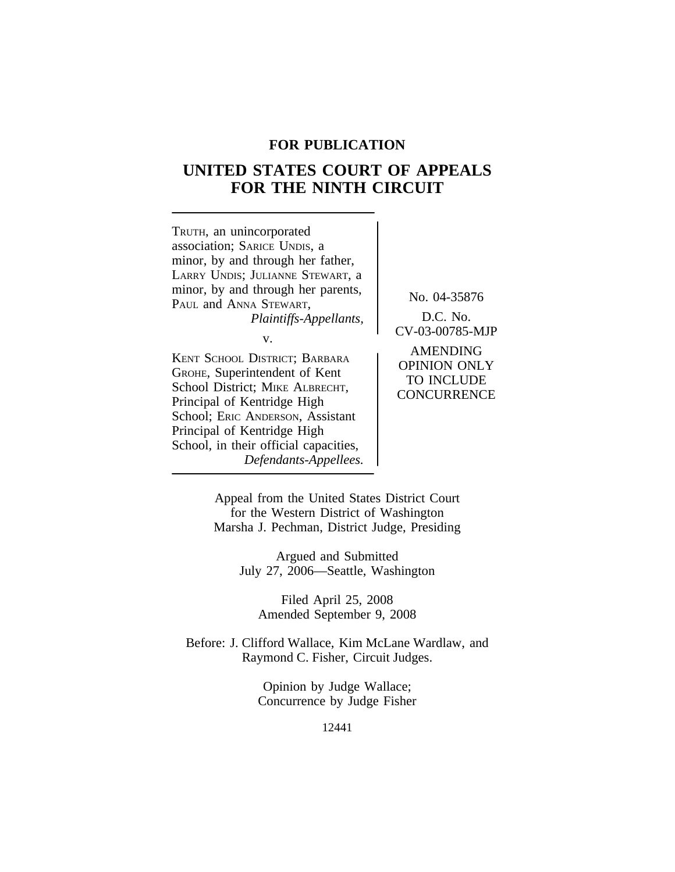# **FOR PUBLICATION**

# **UNITED STATES COURT OF APPEALS FOR THE NINTH CIRCUIT**



Appeal from the United States District Court for the Western District of Washington Marsha J. Pechman, District Judge, Presiding

> Argued and Submitted July 27, 2006—Seattle, Washington

Filed April 25, 2008 Amended September 9, 2008

Before: J. Clifford Wallace, Kim McLane Wardlaw, and Raymond C. Fisher, Circuit Judges.

> Opinion by Judge Wallace; Concurrence by Judge Fisher

> > 12441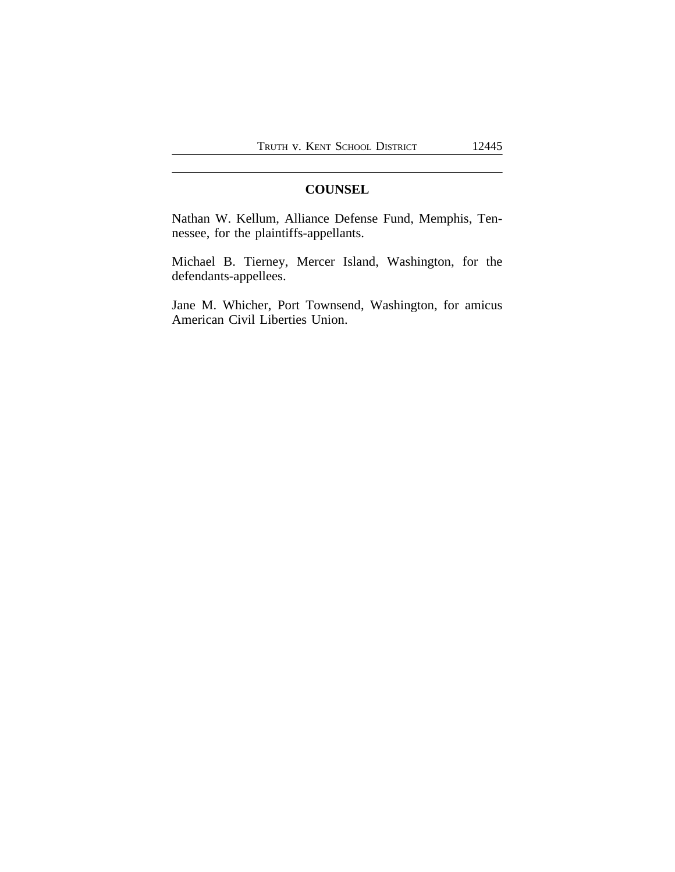## **COUNSEL**

Nathan W. Kellum, Alliance Defense Fund, Memphis, Tennessee, for the plaintiffs-appellants.

Michael B. Tierney, Mercer Island, Washington, for the defendants-appellees.

Jane M. Whicher, Port Townsend, Washington, for amicus American Civil Liberties Union.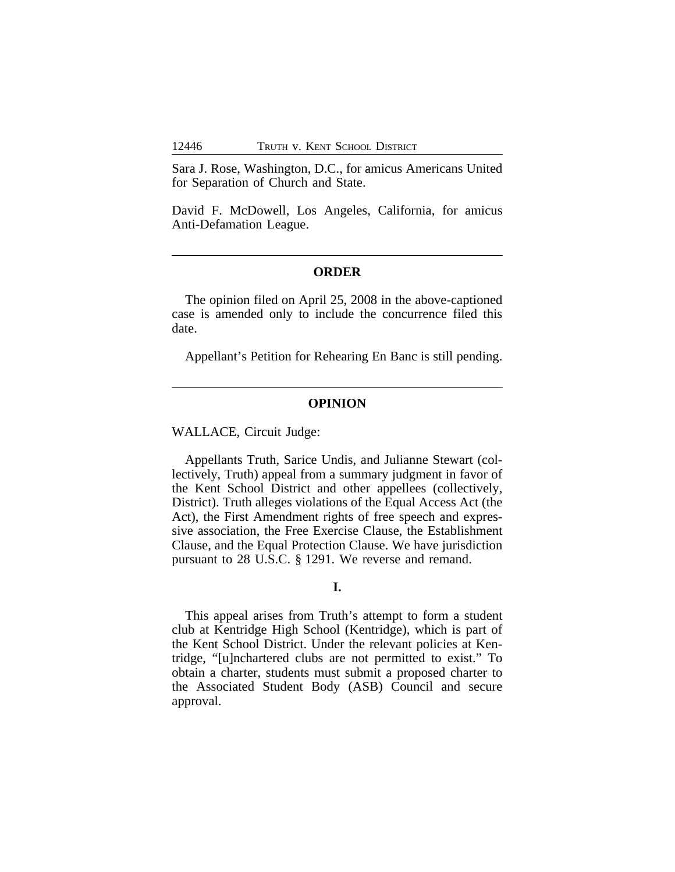Sara J. Rose, Washington, D.C., for amicus Americans United for Separation of Church and State.

David F. McDowell, Los Angeles, California, for amicus Anti-Defamation League.

## **ORDER**

The opinion filed on April 25, 2008 in the above-captioned case is amended only to include the concurrence filed this date.

Appellant's Petition for Rehearing En Banc is still pending.

#### **OPINION**

WALLACE, Circuit Judge:

Appellants Truth, Sarice Undis, and Julianne Stewart (collectively, Truth) appeal from a summary judgment in favor of the Kent School District and other appellees (collectively, District). Truth alleges violations of the Equal Access Act (the Act), the First Amendment rights of free speech and expressive association, the Free Exercise Clause, the Establishment Clause, and the Equal Protection Clause. We have jurisdiction pursuant to 28 U.S.C. § 1291. We reverse and remand.

## **I.**

This appeal arises from Truth's attempt to form a student club at Kentridge High School (Kentridge), which is part of the Kent School District. Under the relevant policies at Kentridge, "[u]nchartered clubs are not permitted to exist." To obtain a charter, students must submit a proposed charter to the Associated Student Body (ASB) Council and secure approval.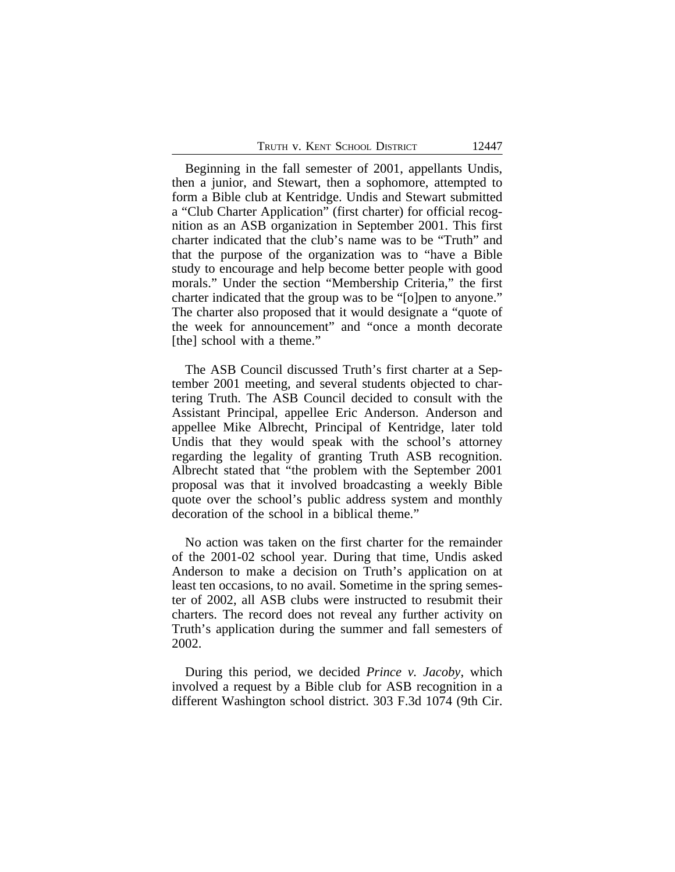| Truth v. Kent School District | 12447 |
|-------------------------------|-------|
|-------------------------------|-------|

Beginning in the fall semester of 2001, appellants Undis, then a junior, and Stewart, then a sophomore, attempted to form a Bible club at Kentridge. Undis and Stewart submitted a "Club Charter Application" (first charter) for official recognition as an ASB organization in September 2001. This first charter indicated that the club's name was to be "Truth" and that the purpose of the organization was to "have a Bible study to encourage and help become better people with good morals." Under the section "Membership Criteria," the first charter indicated that the group was to be "[o]pen to anyone." The charter also proposed that it would designate a "quote of the week for announcement" and "once a month decorate [the] school with a theme."

The ASB Council discussed Truth's first charter at a September 2001 meeting, and several students objected to chartering Truth. The ASB Council decided to consult with the Assistant Principal, appellee Eric Anderson. Anderson and appellee Mike Albrecht, Principal of Kentridge, later told Undis that they would speak with the school's attorney regarding the legality of granting Truth ASB recognition. Albrecht stated that "the problem with the September 2001 proposal was that it involved broadcasting a weekly Bible quote over the school's public address system and monthly decoration of the school in a biblical theme."

No action was taken on the first charter for the remainder of the 2001-02 school year. During that time, Undis asked Anderson to make a decision on Truth's application on at least ten occasions, to no avail. Sometime in the spring semester of 2002, all ASB clubs were instructed to resubmit their charters. The record does not reveal any further activity on Truth's application during the summer and fall semesters of 2002.

During this period, we decided *Prince v. Jacoby*, which involved a request by a Bible club for ASB recognition in a different Washington school district. 303 F.3d 1074 (9th Cir.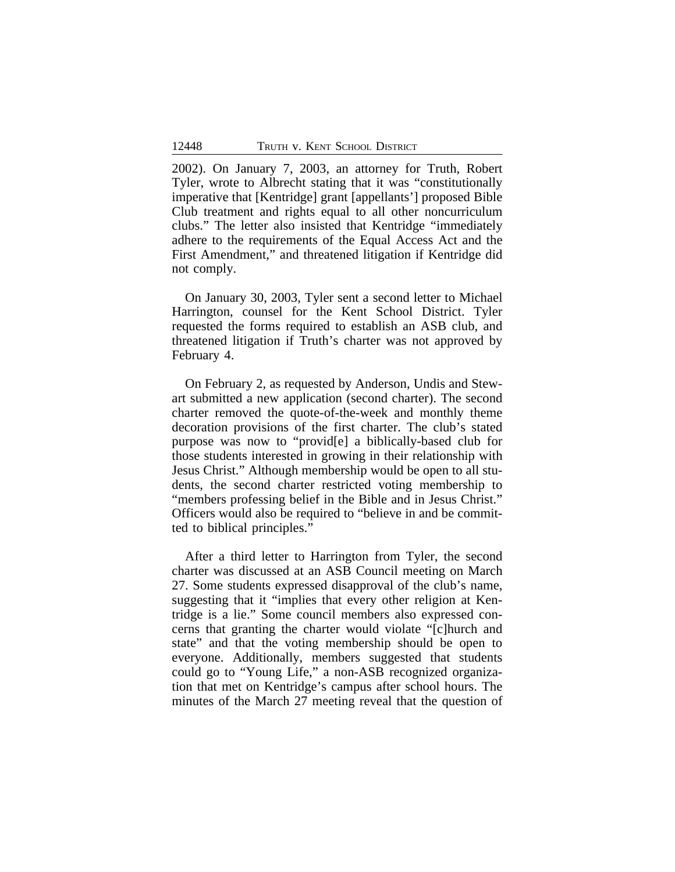2002). On January 7, 2003, an attorney for Truth, Robert Tyler, wrote to Albrecht stating that it was "constitutionally imperative that [Kentridge] grant [appellants'] proposed Bible Club treatment and rights equal to all other noncurriculum clubs." The letter also insisted that Kentridge "immediately adhere to the requirements of the Equal Access Act and the First Amendment," and threatened litigation if Kentridge did not comply.

On January 30, 2003, Tyler sent a second letter to Michael Harrington, counsel for the Kent School District. Tyler requested the forms required to establish an ASB club, and threatened litigation if Truth's charter was not approved by February 4.

On February 2, as requested by Anderson, Undis and Stewart submitted a new application (second charter). The second charter removed the quote-of-the-week and monthly theme decoration provisions of the first charter. The club's stated purpose was now to "provid[e] a biblically-based club for those students interested in growing in their relationship with Jesus Christ." Although membership would be open to all students, the second charter restricted voting membership to "members professing belief in the Bible and in Jesus Christ." Officers would also be required to "believe in and be committed to biblical principles."

After a third letter to Harrington from Tyler, the second charter was discussed at an ASB Council meeting on March 27. Some students expressed disapproval of the club's name, suggesting that it "implies that every other religion at Kentridge is a lie." Some council members also expressed concerns that granting the charter would violate "[c]hurch and state" and that the voting membership should be open to everyone. Additionally, members suggested that students could go to "Young Life," a non-ASB recognized organization that met on Kentridge's campus after school hours. The minutes of the March 27 meeting reveal that the question of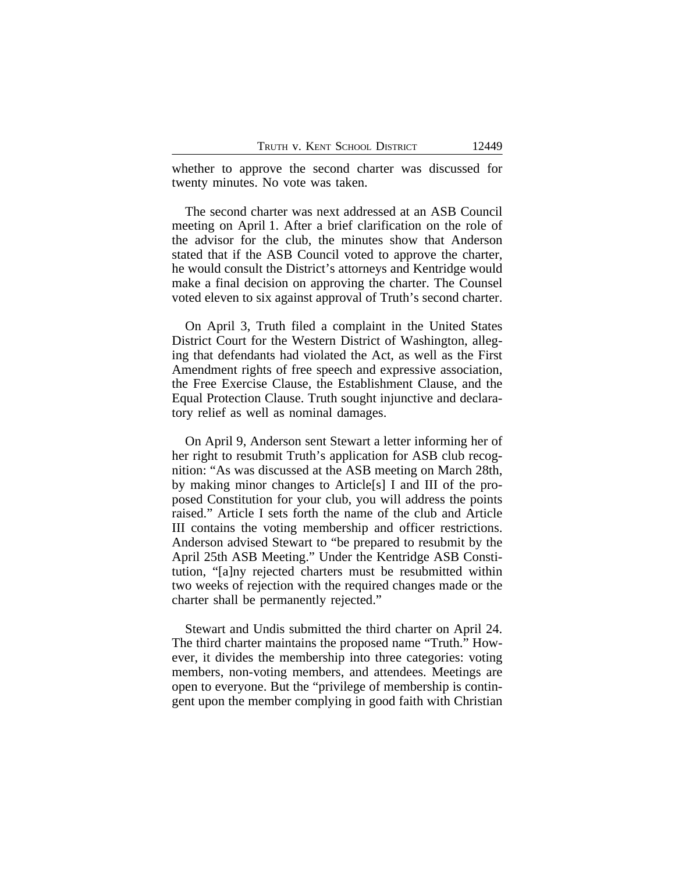whether to approve the second charter was discussed for twenty minutes. No vote was taken.

The second charter was next addressed at an ASB Council meeting on April 1. After a brief clarification on the role of the advisor for the club, the minutes show that Anderson stated that if the ASB Council voted to approve the charter, he would consult the District's attorneys and Kentridge would make a final decision on approving the charter. The Counsel voted eleven to six against approval of Truth's second charter.

On April 3, Truth filed a complaint in the United States District Court for the Western District of Washington, alleging that defendants had violated the Act, as well as the First Amendment rights of free speech and expressive association, the Free Exercise Clause, the Establishment Clause, and the Equal Protection Clause. Truth sought injunctive and declaratory relief as well as nominal damages.

On April 9, Anderson sent Stewart a letter informing her of her right to resubmit Truth's application for ASB club recognition: "As was discussed at the ASB meeting on March 28th, by making minor changes to Article[s] I and III of the proposed Constitution for your club, you will address the points raised." Article I sets forth the name of the club and Article III contains the voting membership and officer restrictions. Anderson advised Stewart to "be prepared to resubmit by the April 25th ASB Meeting." Under the Kentridge ASB Constitution, "[a]ny rejected charters must be resubmitted within two weeks of rejection with the required changes made or the charter shall be permanently rejected."

Stewart and Undis submitted the third charter on April 24. The third charter maintains the proposed name "Truth." However, it divides the membership into three categories: voting members, non-voting members, and attendees. Meetings are open to everyone. But the "privilege of membership is contingent upon the member complying in good faith with Christian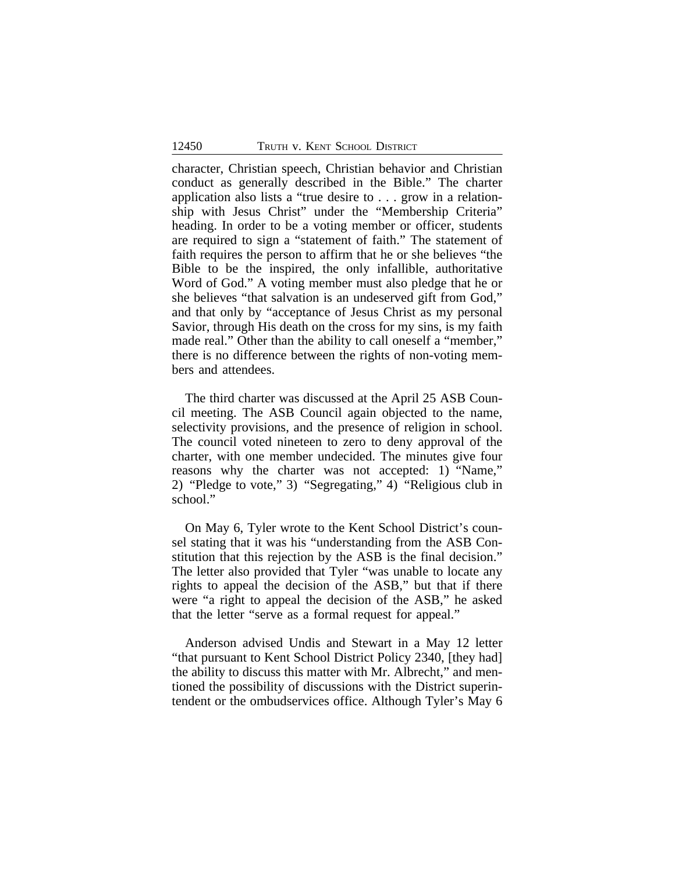character, Christian speech, Christian behavior and Christian conduct as generally described in the Bible." The charter application also lists a "true desire to . . . grow in a relationship with Jesus Christ" under the "Membership Criteria" heading. In order to be a voting member or officer, students are required to sign a "statement of faith." The statement of faith requires the person to affirm that he or she believes "the Bible to be the inspired, the only infallible, authoritative Word of God." A voting member must also pledge that he or she believes "that salvation is an undeserved gift from God," and that only by "acceptance of Jesus Christ as my personal Savior, through His death on the cross for my sins, is my faith made real." Other than the ability to call oneself a "member," there is no difference between the rights of non-voting members and attendees.

The third charter was discussed at the April 25 ASB Council meeting. The ASB Council again objected to the name, selectivity provisions, and the presence of religion in school. The council voted nineteen to zero to deny approval of the charter, with one member undecided. The minutes give four reasons why the charter was not accepted: 1) "Name," 2) "Pledge to vote," 3) "Segregating," 4) "Religious club in school."

On May 6, Tyler wrote to the Kent School District's counsel stating that it was his "understanding from the ASB Constitution that this rejection by the ASB is the final decision." The letter also provided that Tyler "was unable to locate any rights to appeal the decision of the ASB," but that if there were "a right to appeal the decision of the ASB," he asked that the letter "serve as a formal request for appeal."

Anderson advised Undis and Stewart in a May 12 letter "that pursuant to Kent School District Policy 2340, [they had] the ability to discuss this matter with Mr. Albrecht," and mentioned the possibility of discussions with the District superintendent or the ombudservices office. Although Tyler's May 6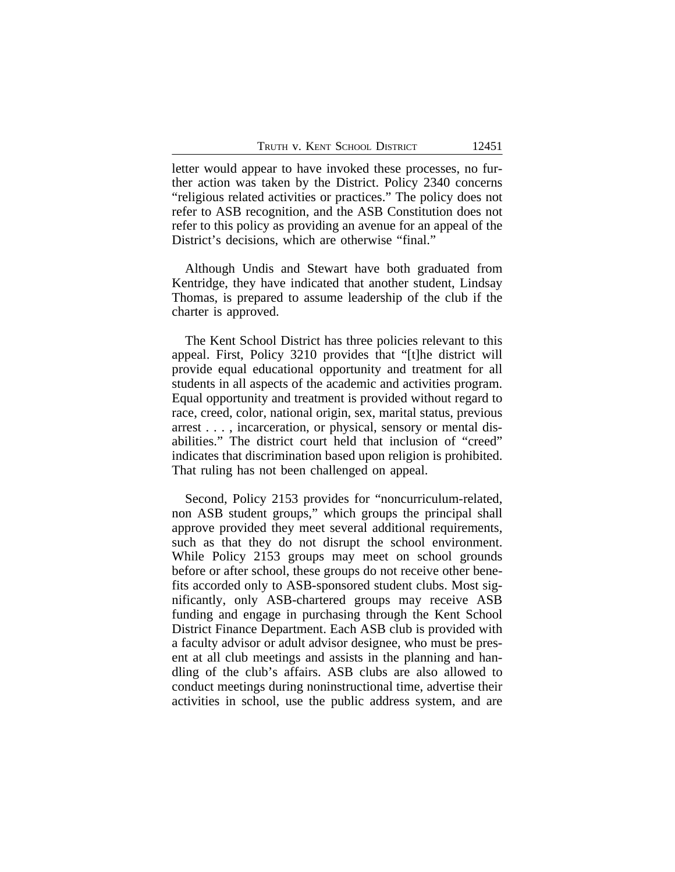letter would appear to have invoked these processes, no further action was taken by the District. Policy 2340 concerns "religious related activities or practices." The policy does not refer to ASB recognition, and the ASB Constitution does not refer to this policy as providing an avenue for an appeal of the District's decisions, which are otherwise "final."

Although Undis and Stewart have both graduated from Kentridge, they have indicated that another student, Lindsay Thomas, is prepared to assume leadership of the club if the charter is approved.

The Kent School District has three policies relevant to this appeal. First, Policy 3210 provides that "[t]he district will provide equal educational opportunity and treatment for all students in all aspects of the academic and activities program. Equal opportunity and treatment is provided without regard to race, creed, color, national origin, sex, marital status, previous arrest . . . , incarceration, or physical, sensory or mental disabilities." The district court held that inclusion of "creed" indicates that discrimination based upon religion is prohibited. That ruling has not been challenged on appeal.

Second, Policy 2153 provides for "noncurriculum-related, non ASB student groups," which groups the principal shall approve provided they meet several additional requirements, such as that they do not disrupt the school environment. While Policy 2153 groups may meet on school grounds before or after school, these groups do not receive other benefits accorded only to ASB-sponsored student clubs. Most significantly, only ASB-chartered groups may receive ASB funding and engage in purchasing through the Kent School District Finance Department. Each ASB club is provided with a faculty advisor or adult advisor designee, who must be present at all club meetings and assists in the planning and handling of the club's affairs. ASB clubs are also allowed to conduct meetings during noninstructional time, advertise their activities in school, use the public address system, and are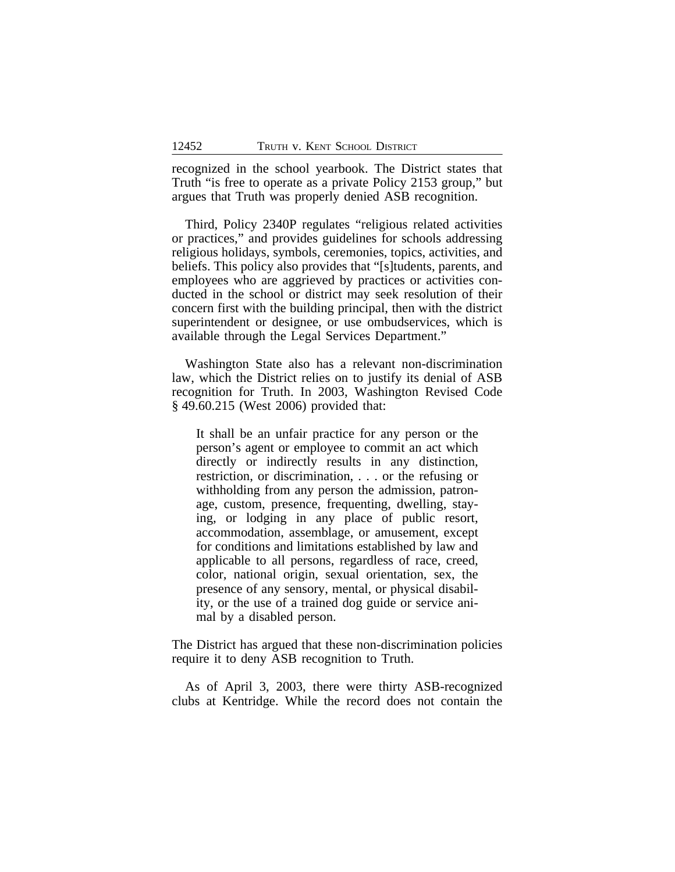recognized in the school yearbook. The District states that Truth "is free to operate as a private Policy 2153 group," but argues that Truth was properly denied ASB recognition.

Third, Policy 2340P regulates "religious related activities or practices," and provides guidelines for schools addressing religious holidays, symbols, ceremonies, topics, activities, and beliefs. This policy also provides that "[s]tudents, parents, and employees who are aggrieved by practices or activities conducted in the school or district may seek resolution of their concern first with the building principal, then with the district superintendent or designee, or use ombudservices, which is available through the Legal Services Department."

Washington State also has a relevant non-discrimination law, which the District relies on to justify its denial of ASB recognition for Truth. In 2003, Washington Revised Code § 49.60.215 (West 2006) provided that:

It shall be an unfair practice for any person or the person's agent or employee to commit an act which directly or indirectly results in any distinction, restriction, or discrimination, . . . or the refusing or withholding from any person the admission, patronage, custom, presence, frequenting, dwelling, staying, or lodging in any place of public resort, accommodation, assemblage, or amusement, except for conditions and limitations established by law and applicable to all persons, regardless of race, creed, color, national origin, sexual orientation, sex, the presence of any sensory, mental, or physical disability, or the use of a trained dog guide or service animal by a disabled person.

The District has argued that these non-discrimination policies require it to deny ASB recognition to Truth.

As of April 3, 2003, there were thirty ASB-recognized clubs at Kentridge. While the record does not contain the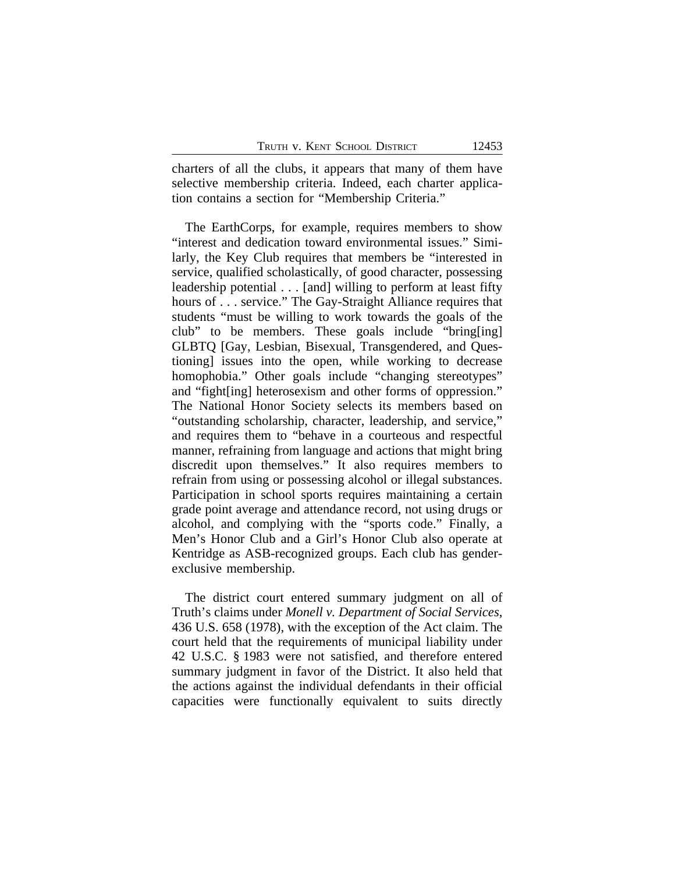charters of all the clubs, it appears that many of them have selective membership criteria. Indeed, each charter application contains a section for "Membership Criteria."

The EarthCorps, for example, requires members to show "interest and dedication toward environmental issues." Similarly, the Key Club requires that members be "interested in service, qualified scholastically, of good character, possessing leadership potential . . . [and] willing to perform at least fifty hours of . . . service." The Gay-Straight Alliance requires that students "must be willing to work towards the goals of the club" to be members. These goals include "bring[ing] GLBTQ [Gay, Lesbian, Bisexual, Transgendered, and Questioning] issues into the open, while working to decrease homophobia." Other goals include "changing stereotypes" and "fight[ing] heterosexism and other forms of oppression." The National Honor Society selects its members based on "outstanding scholarship, character, leadership, and service," and requires them to "behave in a courteous and respectful manner, refraining from language and actions that might bring discredit upon themselves." It also requires members to refrain from using or possessing alcohol or illegal substances. Participation in school sports requires maintaining a certain grade point average and attendance record, not using drugs or alcohol, and complying with the "sports code." Finally, a Men's Honor Club and a Girl's Honor Club also operate at Kentridge as ASB-recognized groups. Each club has genderexclusive membership.

The district court entered summary judgment on all of Truth's claims under *Monell v. Department of Social Services*, 436 U.S. 658 (1978), with the exception of the Act claim. The court held that the requirements of municipal liability under 42 U.S.C. § 1983 were not satisfied, and therefore entered summary judgment in favor of the District. It also held that the actions against the individual defendants in their official capacities were functionally equivalent to suits directly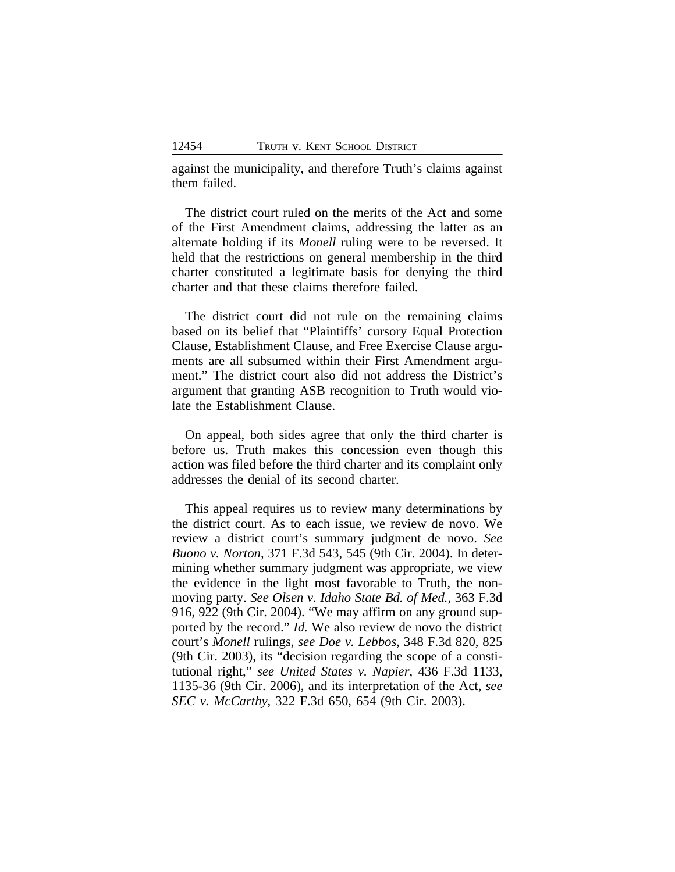against the municipality, and therefore Truth's claims against them failed.

The district court ruled on the merits of the Act and some of the First Amendment claims, addressing the latter as an alternate holding if its *Monell* ruling were to be reversed. It held that the restrictions on general membership in the third charter constituted a legitimate basis for denying the third charter and that these claims therefore failed.

The district court did not rule on the remaining claims based on its belief that "Plaintiffs' cursory Equal Protection Clause, Establishment Clause, and Free Exercise Clause arguments are all subsumed within their First Amendment argument." The district court also did not address the District's argument that granting ASB recognition to Truth would violate the Establishment Clause.

On appeal, both sides agree that only the third charter is before us. Truth makes this concession even though this action was filed before the third charter and its complaint only addresses the denial of its second charter.

This appeal requires us to review many determinations by the district court. As to each issue, we review de novo. We review a district court's summary judgment de novo. *See Buono v. Norton*, 371 F.3d 543, 545 (9th Cir. 2004). In determining whether summary judgment was appropriate, we view the evidence in the light most favorable to Truth, the nonmoving party. *See Olsen v. Idaho State Bd. of Med.*, 363 F.3d 916, 922 (9th Cir. 2004). "We may affirm on any ground supported by the record." *Id.* We also review de novo the district court's *Monell* rulings, *see Doe v. Lebbos*, 348 F.3d 820, 825 (9th Cir. 2003), its "decision regarding the scope of a constitutional right," *see United States v. Napier*, 436 F.3d 1133, 1135-36 (9th Cir. 2006), and its interpretation of the Act, *see SEC v. McCarthy*, 322 F.3d 650, 654 (9th Cir. 2003).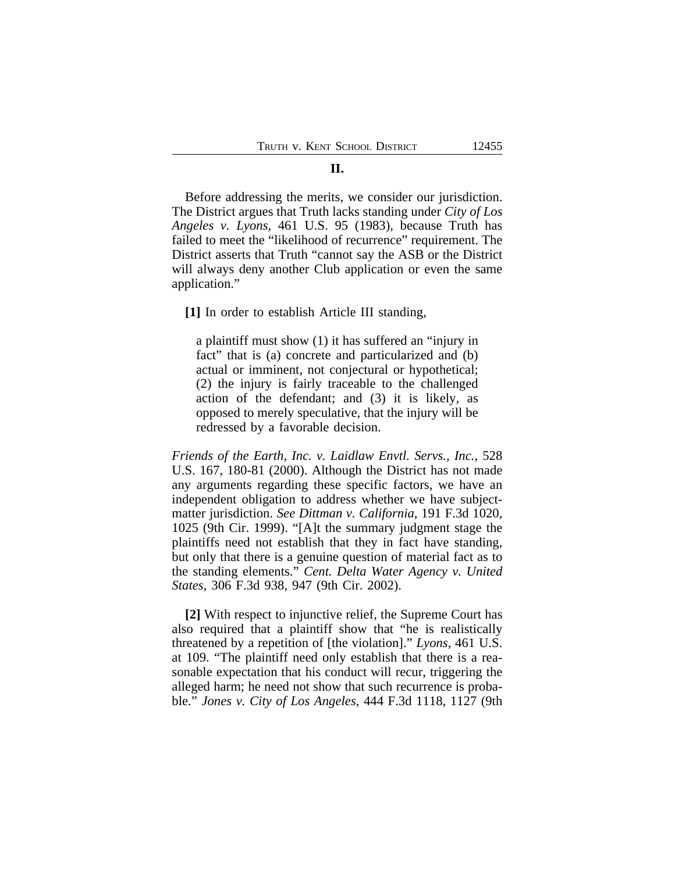#### **II.**

Before addressing the merits, we consider our jurisdiction. The District argues that Truth lacks standing under *City of Los Angeles v. Lyons,* 461 U.S. 95 (1983), because Truth has failed to meet the "likelihood of recurrence" requirement. The District asserts that Truth "cannot say the ASB or the District will always deny another Club application or even the same application."

**[1]** In order to establish Article III standing,

a plaintiff must show (1) it has suffered an "injury in fact" that is (a) concrete and particularized and (b) actual or imminent, not conjectural or hypothetical; (2) the injury is fairly traceable to the challenged action of the defendant; and (3) it is likely, as opposed to merely speculative, that the injury will be redressed by a favorable decision.

*Friends of the Earth, Inc. v. Laidlaw Envtl. Servs., Inc.*, 528 U.S. 167, 180-81 (2000). Although the District has not made any arguments regarding these specific factors, we have an independent obligation to address whether we have subjectmatter jurisdiction. *See Dittman v. California*, 191 F.3d 1020, 1025 (9th Cir. 1999). "[A]t the summary judgment stage the plaintiffs need not establish that they in fact have standing, but only that there is a genuine question of material fact as to the standing elements." *Cent. Delta Water Agency v. United States*, 306 F.3d 938, 947 (9th Cir. 2002).

**[2]** With respect to injunctive relief, the Supreme Court has also required that a plaintiff show that "he is realistically threatened by a repetition of [the violation]." *Lyons*, 461 U.S. at 109. "The plaintiff need only establish that there is a reasonable expectation that his conduct will recur, triggering the alleged harm; he need not show that such recurrence is probable." *Jones v. City of Los Angeles*, 444 F.3d 1118, 1127 (9th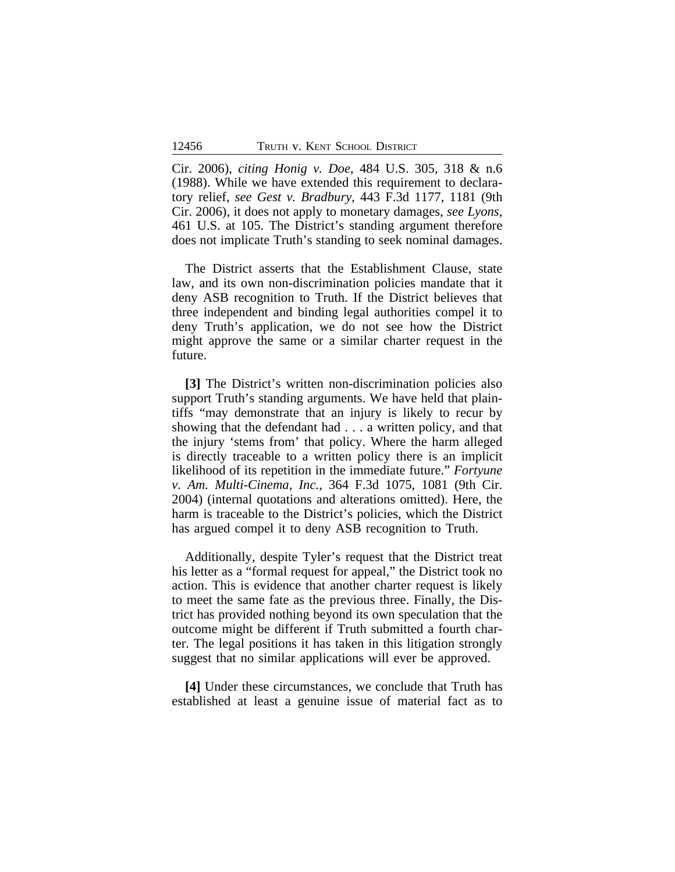Cir. 2006), *citing Honig v. Doe*, 484 U.S. 305, 318 & n.6 (1988). While we have extended this requirement to declaratory relief, *see Gest v. Bradbury*, 443 F.3d 1177, 1181 (9th Cir. 2006), it does not apply to monetary damages, *see Lyons*, 461 U.S. at 105. The District's standing argument therefore does not implicate Truth's standing to seek nominal damages.

The District asserts that the Establishment Clause, state law, and its own non-discrimination policies mandate that it deny ASB recognition to Truth. If the District believes that three independent and binding legal authorities compel it to deny Truth's application, we do not see how the District might approve the same or a similar charter request in the future.

[3] The District's written non-discrimination policies also support Truth's standing arguments. We have held that plaintiffs "may demonstrate that an injury is likely to recur by showing that the defendant had . . . a written policy, and that the injury 'stems from' that policy. Where the harm alleged is directly traceable to a written policy there is an implicit likelihood of its repetition in the immediate future." *Fortyune v. Am. Multi-Cinema, Inc.*, 364 F.3d 1075, 1081 (9th Cir. 2004) (internal quotations and alterations omitted). Here, the harm is traceable to the District's policies, which the District has argued compel it to deny ASB recognition to Truth.

Additionally, despite Tyler's request that the District treat his letter as a "formal request for appeal," the District took no action. This is evidence that another charter request is likely to meet the same fate as the previous three. Finally, the District has provided nothing beyond its own speculation that the outcome might be different if Truth submitted a fourth charter. The legal positions it has taken in this litigation strongly suggest that no similar applications will ever be approved.

**[4]** Under these circumstances, we conclude that Truth has established at least a genuine issue of material fact as to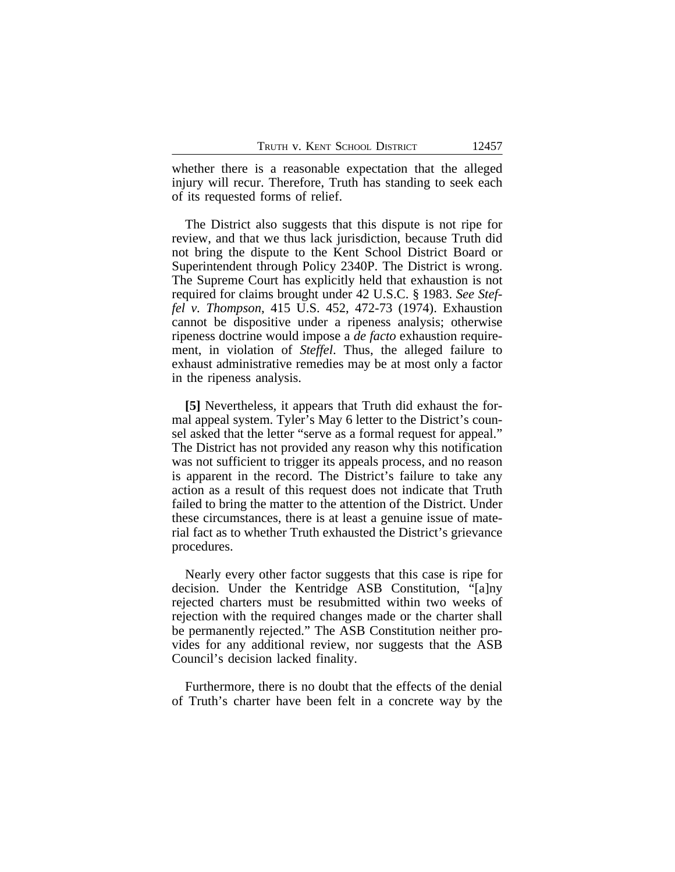whether there is a reasonable expectation that the alleged injury will recur. Therefore, Truth has standing to seek each of its requested forms of relief.

The District also suggests that this dispute is not ripe for review, and that we thus lack jurisdiction, because Truth did not bring the dispute to the Kent School District Board or Superintendent through Policy 2340P. The District is wrong. The Supreme Court has explicitly held that exhaustion is not required for claims brought under 42 U.S.C. § 1983. *See Steffel v. Thompson*, 415 U.S. 452, 472-73 (1974). Exhaustion cannot be dispositive under a ripeness analysis; otherwise ripeness doctrine would impose a *de facto* exhaustion requirement, in violation of *Steffel*. Thus, the alleged failure to exhaust administrative remedies may be at most only a factor in the ripeness analysis.

**[5]** Nevertheless, it appears that Truth did exhaust the formal appeal system. Tyler's May 6 letter to the District's counsel asked that the letter "serve as a formal request for appeal." The District has not provided any reason why this notification was not sufficient to trigger its appeals process, and no reason is apparent in the record. The District's failure to take any action as a result of this request does not indicate that Truth failed to bring the matter to the attention of the District. Under these circumstances, there is at least a genuine issue of material fact as to whether Truth exhausted the District's grievance procedures.

Nearly every other factor suggests that this case is ripe for decision. Under the Kentridge ASB Constitution, "[a]ny rejected charters must be resubmitted within two weeks of rejection with the required changes made or the charter shall be permanently rejected." The ASB Constitution neither provides for any additional review, nor suggests that the ASB Council's decision lacked finality.

Furthermore, there is no doubt that the effects of the denial of Truth's charter have been felt in a concrete way by the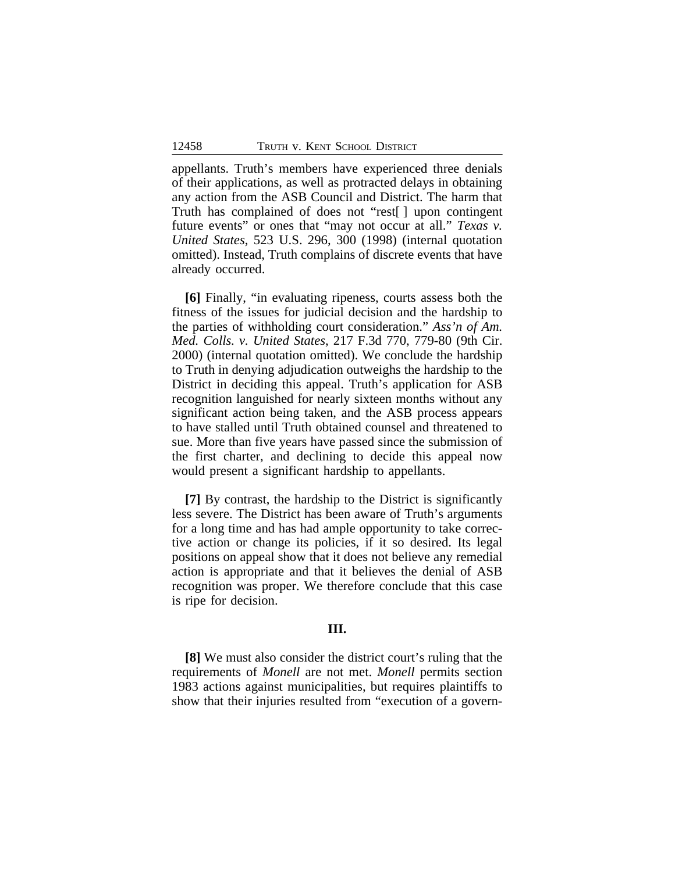appellants. Truth's members have experienced three denials of their applications, as well as protracted delays in obtaining any action from the ASB Council and District. The harm that Truth has complained of does not "rest[ ] upon contingent future events" or ones that "may not occur at all." *Texas v. United States*, 523 U.S. 296, 300 (1998) (internal quotation omitted). Instead, Truth complains of discrete events that have already occurred.

**[6]** Finally, "in evaluating ripeness, courts assess both the fitness of the issues for judicial decision and the hardship to the parties of withholding court consideration." *Ass'n of Am. Med. Colls. v. United States*, 217 F.3d 770, 779-80 (9th Cir. 2000) (internal quotation omitted). We conclude the hardship to Truth in denying adjudication outweighs the hardship to the District in deciding this appeal. Truth's application for ASB recognition languished for nearly sixteen months without any significant action being taken, and the ASB process appears to have stalled until Truth obtained counsel and threatened to sue. More than five years have passed since the submission of the first charter, and declining to decide this appeal now would present a significant hardship to appellants.

**[7]** By contrast, the hardship to the District is significantly less severe. The District has been aware of Truth's arguments for a long time and has had ample opportunity to take corrective action or change its policies, if it so desired. Its legal positions on appeal show that it does not believe any remedial action is appropriate and that it believes the denial of ASB recognition was proper. We therefore conclude that this case is ripe for decision.

## **III.**

**[8]** We must also consider the district court's ruling that the requirements of *Monell* are not met. *Monell* permits section 1983 actions against municipalities, but requires plaintiffs to show that their injuries resulted from "execution of a govern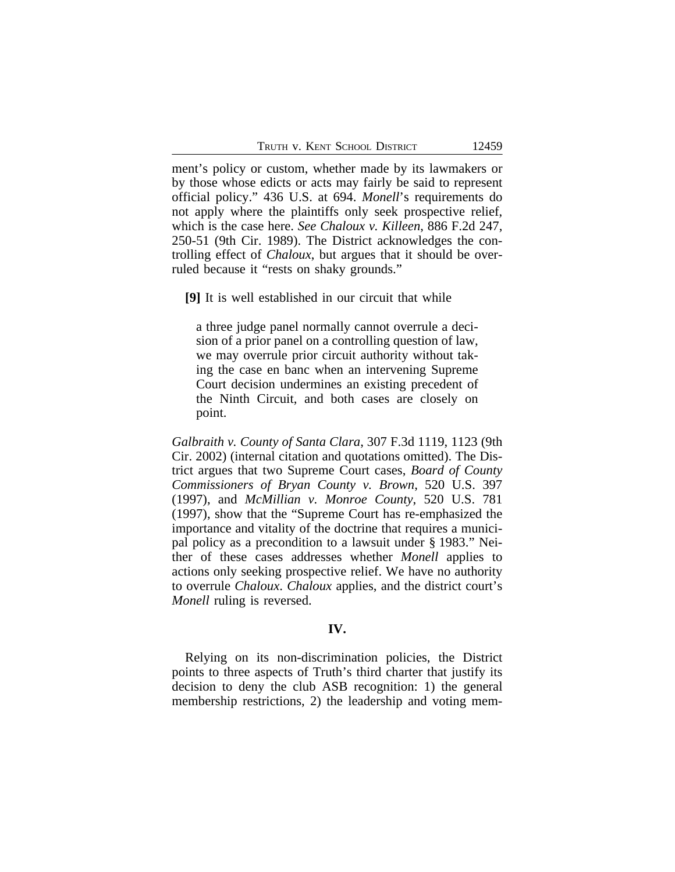ment's policy or custom, whether made by its lawmakers or by those whose edicts or acts may fairly be said to represent official policy." 436 U.S. at 694. *Monell*'s requirements do not apply where the plaintiffs only seek prospective relief, which is the case here. *See Chaloux v. Killeen*, 886 F.2d 247, 250-51 (9th Cir. 1989). The District acknowledges the controlling effect of *Chaloux*, but argues that it should be overruled because it "rests on shaky grounds."

**[9]** It is well established in our circuit that while

a three judge panel normally cannot overrule a decision of a prior panel on a controlling question of law, we may overrule prior circuit authority without taking the case en banc when an intervening Supreme Court decision undermines an existing precedent of the Ninth Circuit, and both cases are closely on point.

*Galbraith v. County of Santa Clara*, 307 F.3d 1119, 1123 (9th Cir. 2002) (internal citation and quotations omitted). The District argues that two Supreme Court cases, *Board of County Commissioners of Bryan County v. Brown*, 520 U.S. 397 (1997), and *McMillian v. Monroe County*, 520 U.S. 781 (1997), show that the "Supreme Court has re-emphasized the importance and vitality of the doctrine that requires a municipal policy as a precondition to a lawsuit under § 1983." Neither of these cases addresses whether *Monell* applies to actions only seeking prospective relief. We have no authority to overrule *Chaloux*. *Chaloux* applies, and the district court's *Monell* ruling is reversed.

## **IV.**

Relying on its non-discrimination policies, the District points to three aspects of Truth's third charter that justify its decision to deny the club ASB recognition: 1) the general membership restrictions, 2) the leadership and voting mem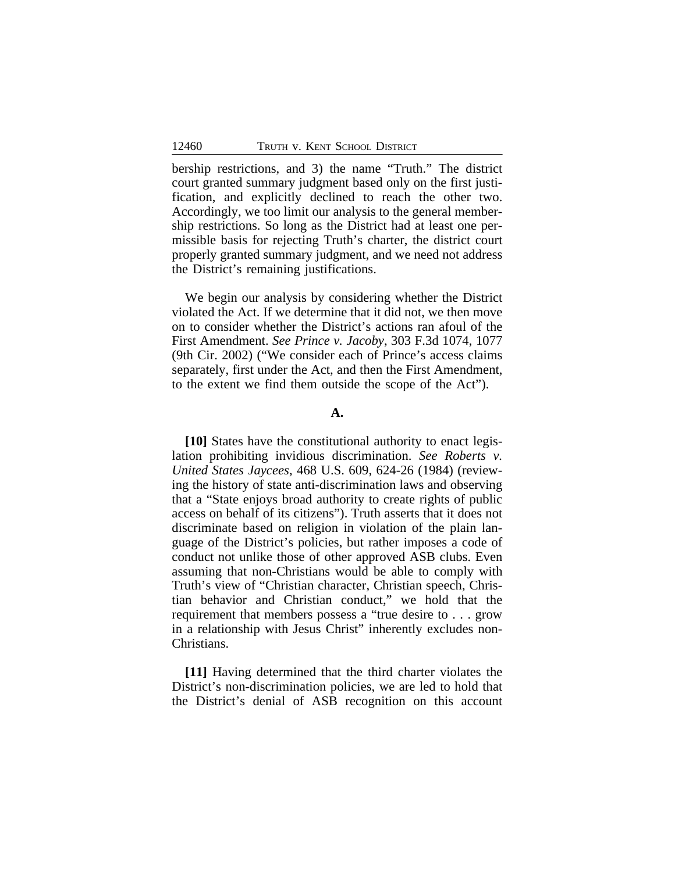bership restrictions, and 3) the name "Truth." The district court granted summary judgment based only on the first justification, and explicitly declined to reach the other two. Accordingly, we too limit our analysis to the general membership restrictions. So long as the District had at least one permissible basis for rejecting Truth's charter, the district court properly granted summary judgment, and we need not address the District's remaining justifications.

We begin our analysis by considering whether the District violated the Act. If we determine that it did not, we then move on to consider whether the District's actions ran afoul of the First Amendment. *See Prince v. Jacoby*, 303 F.3d 1074, 1077 (9th Cir. 2002) ("We consider each of Prince's access claims separately, first under the Act, and then the First Amendment, to the extent we find them outside the scope of the Act").

## **A.**

**[10]** States have the constitutional authority to enact legislation prohibiting invidious discrimination. *See Roberts v. United States Jaycees*, 468 U.S. 609, 624-26 (1984) (reviewing the history of state anti-discrimination laws and observing that a "State enjoys broad authority to create rights of public access on behalf of its citizens"). Truth asserts that it does not discriminate based on religion in violation of the plain language of the District's policies, but rather imposes a code of conduct not unlike those of other approved ASB clubs. Even assuming that non-Christians would be able to comply with Truth's view of "Christian character, Christian speech, Christian behavior and Christian conduct," we hold that the requirement that members possess a "true desire to . . . grow in a relationship with Jesus Christ" inherently excludes non-Christians.

**[11]** Having determined that the third charter violates the District's non-discrimination policies, we are led to hold that the District's denial of ASB recognition on this account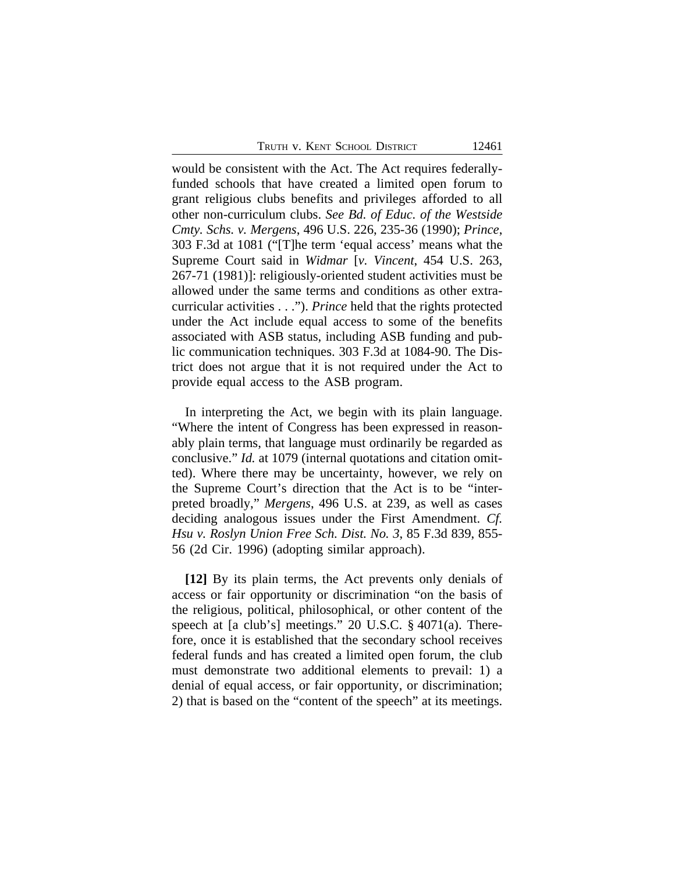TRUTH V. KENT SCHOOL DISTRICT 12461

would be consistent with the Act. The Act requires federallyfunded schools that have created a limited open forum to grant religious clubs benefits and privileges afforded to all other non-curriculum clubs. *See Bd. of Educ. of the Westside Cmty. Schs. v. Mergens*, 496 U.S. 226, 235-36 (1990); *Prince*, 303 F.3d at 1081 ("[T]he term 'equal access' means what the Supreme Court said in *Widmar* [*v. Vincent*, 454 U.S. 263, 267-71 (1981)]: religiously-oriented student activities must be allowed under the same terms and conditions as other extracurricular activities . . ."). *Prince* held that the rights protected under the Act include equal access to some of the benefits associated with ASB status, including ASB funding and public communication techniques. 303 F.3d at 1084-90. The District does not argue that it is not required under the Act to provide equal access to the ASB program.

In interpreting the Act, we begin with its plain language. "Where the intent of Congress has been expressed in reasonably plain terms, that language must ordinarily be regarded as conclusive." *Id.* at 1079 (internal quotations and citation omitted). Where there may be uncertainty, however, we rely on the Supreme Court's direction that the Act is to be "interpreted broadly," *Mergens*, 496 U.S. at 239, as well as cases deciding analogous issues under the First Amendment. *Cf. Hsu v. Roslyn Union Free Sch. Dist. No. 3*, 85 F.3d 839, 855- 56 (2d Cir. 1996) (adopting similar approach).

**[12]** By its plain terms, the Act prevents only denials of access or fair opportunity or discrimination "on the basis of the religious, political, philosophical, or other content of the speech at [a club's] meetings." 20 U.S.C. § 4071(a). Therefore, once it is established that the secondary school receives federal funds and has created a limited open forum, the club must demonstrate two additional elements to prevail: 1) a denial of equal access, or fair opportunity, or discrimination; 2) that is based on the "content of the speech" at its meetings.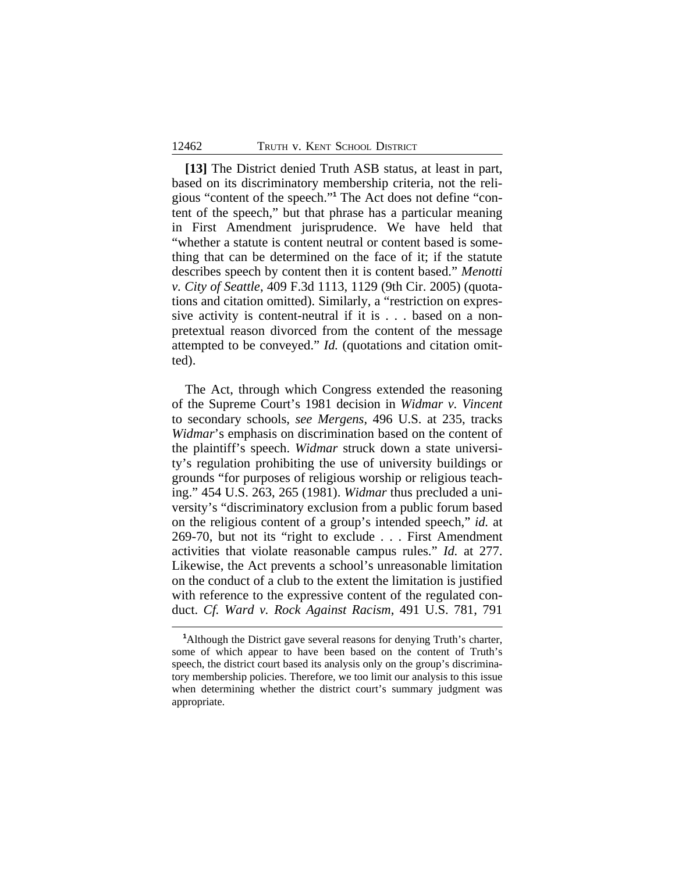**[13]** The District denied Truth ASB status, at least in part, based on its discriminatory membership criteria, not the religious "content of the speech." **1** The Act does not define "content of the speech," but that phrase has a particular meaning in First Amendment jurisprudence. We have held that "whether a statute is content neutral or content based is something that can be determined on the face of it; if the statute describes speech by content then it is content based." *Menotti v. City of Seattle*, 409 F.3d 1113, 1129 (9th Cir. 2005) (quotations and citation omitted). Similarly, a "restriction on expressive activity is content-neutral if it is . . . based on a nonpretextual reason divorced from the content of the message attempted to be conveyed." *Id.* (quotations and citation omitted).

The Act, through which Congress extended the reasoning of the Supreme Court's 1981 decision in *Widmar v. Vincent* to secondary schools, *see Mergens*, 496 U.S. at 235, tracks *Widmar*'s emphasis on discrimination based on the content of the plaintiff's speech. *Widmar* struck down a state university's regulation prohibiting the use of university buildings or grounds "for purposes of religious worship or religious teaching." 454 U.S. 263, 265 (1981). *Widmar* thus precluded a university's "discriminatory exclusion from a public forum based on the religious content of a group's intended speech," *id.* at 269-70, but not its "right to exclude . . . First Amendment activities that violate reasonable campus rules." *Id.* at 277. Likewise, the Act prevents a school's unreasonable limitation on the conduct of a club to the extent the limitation is justified with reference to the expressive content of the regulated conduct. *Cf. Ward v. Rock Against Racism*, 491 U.S. 781, 791

**<sup>1</sup>**Although the District gave several reasons for denying Truth's charter, some of which appear to have been based on the content of Truth's speech, the district court based its analysis only on the group's discriminatory membership policies. Therefore, we too limit our analysis to this issue when determining whether the district court's summary judgment was appropriate.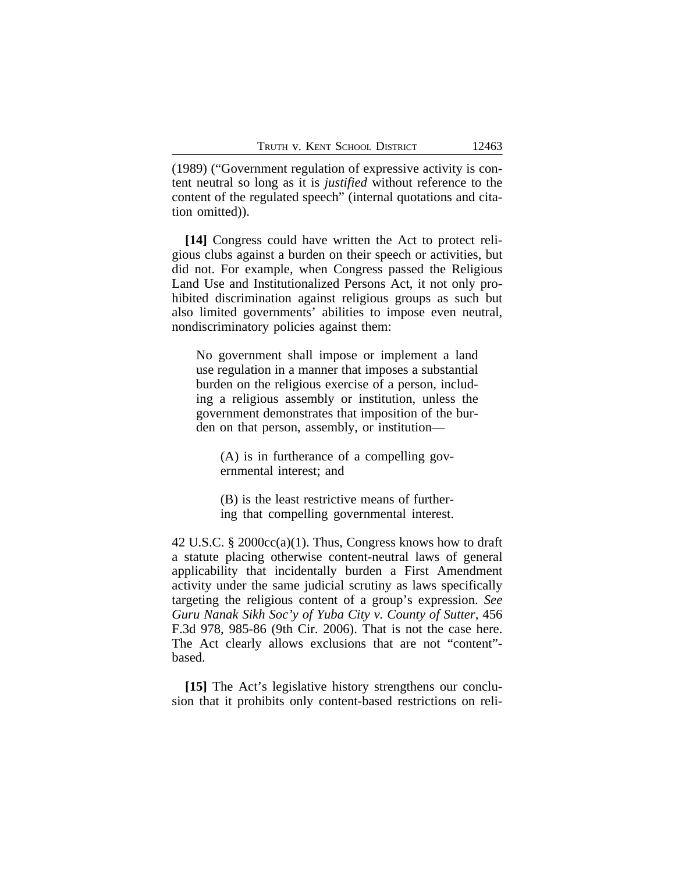(1989) ("Government regulation of expressive activity is content neutral so long as it is *justified* without reference to the content of the regulated speech" (internal quotations and citation omitted)).

**[14]** Congress could have written the Act to protect religious clubs against a burden on their speech or activities, but did not. For example, when Congress passed the Religious Land Use and Institutionalized Persons Act, it not only prohibited discrimination against religious groups as such but also limited governments' abilities to impose even neutral, nondiscriminatory policies against them:

No government shall impose or implement a land use regulation in a manner that imposes a substantial burden on the religious exercise of a person, including a religious assembly or institution, unless the government demonstrates that imposition of the burden on that person, assembly, or institution—

(A) is in furtherance of a compelling governmental interest; and

(B) is the least restrictive means of furthering that compelling governmental interest.

42 U.S.C. § 2000cc(a)(1). Thus, Congress knows how to draft a statute placing otherwise content-neutral laws of general applicability that incidentally burden a First Amendment activity under the same judicial scrutiny as laws specifically targeting the religious content of a group's expression. *See Guru Nanak Sikh Soc'y of Yuba City v. County of Sutter*, 456 F.3d 978, 985-86 (9th Cir. 2006). That is not the case here. The Act clearly allows exclusions that are not "content" based.

**[15]** The Act's legislative history strengthens our conclusion that it prohibits only content-based restrictions on reli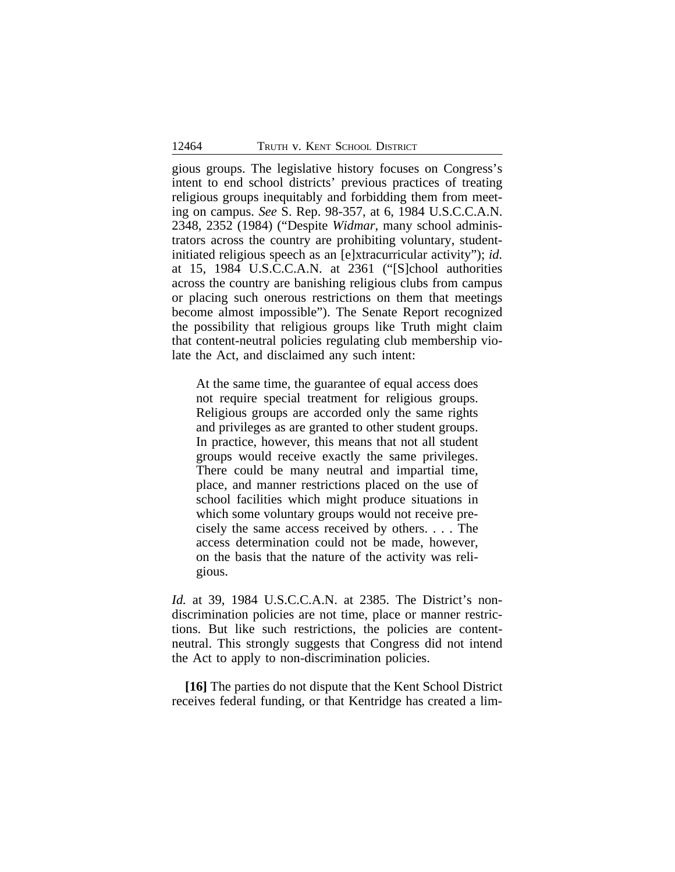gious groups. The legislative history focuses on Congress's intent to end school districts' previous practices of treating religious groups inequitably and forbidding them from meeting on campus. *See* S. Rep. 98-357, at 6, 1984 U.S.C.C.A.N. 2348, 2352 (1984) ("Despite *Widmar*, many school administrators across the country are prohibiting voluntary, studentinitiated religious speech as an [e]xtracurricular activity"); *id.* at 15, 1984 U.S.C.C.A.N. at 2361 ("[S]chool authorities across the country are banishing religious clubs from campus or placing such onerous restrictions on them that meetings become almost impossible"). The Senate Report recognized the possibility that religious groups like Truth might claim that content-neutral policies regulating club membership violate the Act, and disclaimed any such intent:

At the same time, the guarantee of equal access does not require special treatment for religious groups. Religious groups are accorded only the same rights and privileges as are granted to other student groups. In practice, however, this means that not all student groups would receive exactly the same privileges. There could be many neutral and impartial time, place, and manner restrictions placed on the use of school facilities which might produce situations in which some voluntary groups would not receive precisely the same access received by others. . . . The access determination could not be made, however, on the basis that the nature of the activity was religious.

*Id.* at 39, 1984 U.S.C.C.A.N. at 2385. The District's nondiscrimination policies are not time, place or manner restrictions. But like such restrictions, the policies are contentneutral. This strongly suggests that Congress did not intend the Act to apply to non-discrimination policies.

**[16]** The parties do not dispute that the Kent School District receives federal funding, or that Kentridge has created a lim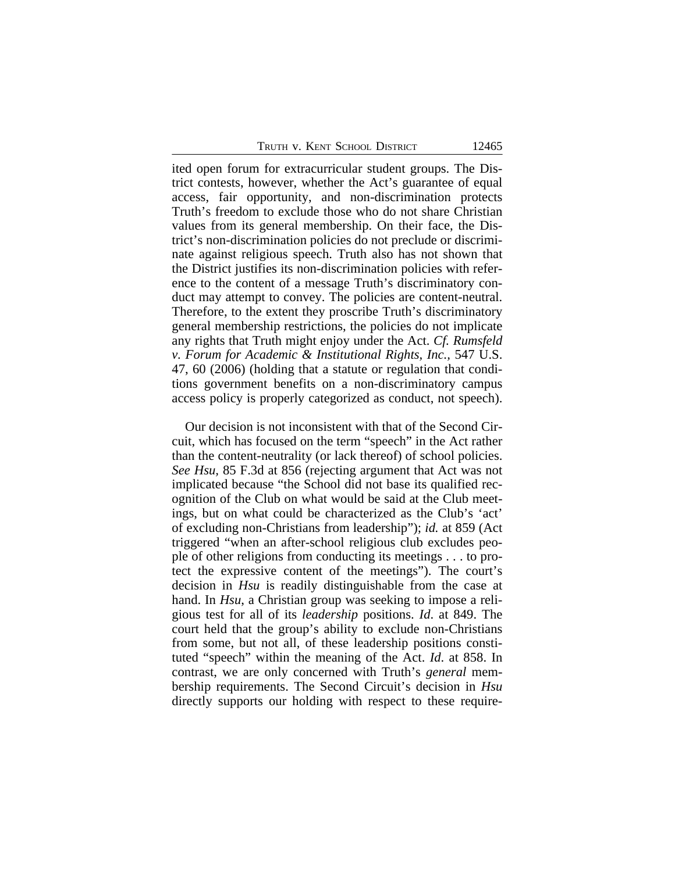ited open forum for extracurricular student groups. The District contests, however, whether the Act's guarantee of equal access, fair opportunity, and non-discrimination protects Truth's freedom to exclude those who do not share Christian values from its general membership. On their face, the District's non-discrimination policies do not preclude or discriminate against religious speech. Truth also has not shown that the District justifies its non-discrimination policies with reference to the content of a message Truth's discriminatory conduct may attempt to convey. The policies are content-neutral. Therefore, to the extent they proscribe Truth's discriminatory general membership restrictions, the policies do not implicate any rights that Truth might enjoy under the Act. *Cf. Rumsfeld v. Forum for Academic & Institutional Rights, Inc.,* 547 U.S. 47, 60 (2006) (holding that a statute or regulation that conditions government benefits on a non-discriminatory campus access policy is properly categorized as conduct, not speech).

Our decision is not inconsistent with that of the Second Circuit, which has focused on the term "speech" in the Act rather than the content-neutrality (or lack thereof) of school policies. *See Hsu,* 85 F.3d at 856 (rejecting argument that Act was not implicated because "the School did not base its qualified recognition of the Club on what would be said at the Club meetings, but on what could be characterized as the Club's 'act' of excluding non-Christians from leadership"); *id.* at 859 (Act triggered "when an after-school religious club excludes people of other religions from conducting its meetings . . . to protect the expressive content of the meetings"). The court's decision in *Hsu* is readily distinguishable from the case at hand. In *Hsu*, a Christian group was seeking to impose a religious test for all of its *leadership* positions. *Id*. at 849. The court held that the group's ability to exclude non-Christians from some, but not all, of these leadership positions constituted "speech" within the meaning of the Act. *Id*. at 858. In contrast, we are only concerned with Truth's *general* membership requirements. The Second Circuit's decision in *Hsu* directly supports our holding with respect to these require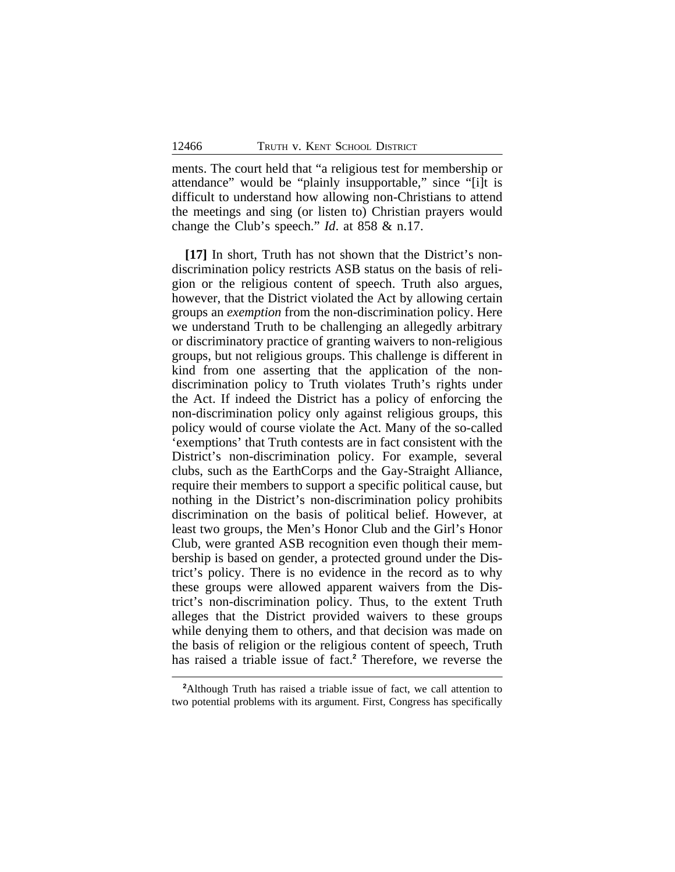ments. The court held that "a religious test for membership or attendance" would be "plainly insupportable," since "[i]t is difficult to understand how allowing non-Christians to attend the meetings and sing (or listen to) Christian prayers would change the Club's speech." *Id*. at 858 & n.17.

**[17]** In short, Truth has not shown that the District's nondiscrimination policy restricts ASB status on the basis of religion or the religious content of speech. Truth also argues, however, that the District violated the Act by allowing certain groups an *exemption* from the non-discrimination policy. Here we understand Truth to be challenging an allegedly arbitrary or discriminatory practice of granting waivers to non-religious groups, but not religious groups. This challenge is different in kind from one asserting that the application of the nondiscrimination policy to Truth violates Truth's rights under the Act. If indeed the District has a policy of enforcing the non-discrimination policy only against religious groups, this policy would of course violate the Act. Many of the so-called 'exemptions' that Truth contests are in fact consistent with the District's non-discrimination policy. For example, several clubs, such as the EarthCorps and the Gay-Straight Alliance, require their members to support a specific political cause, but nothing in the District's non-discrimination policy prohibits discrimination on the basis of political belief. However, at least two groups, the Men's Honor Club and the Girl's Honor Club, were granted ASB recognition even though their membership is based on gender, a protected ground under the District's policy. There is no evidence in the record as to why these groups were allowed apparent waivers from the District's non-discrimination policy. Thus, to the extent Truth alleges that the District provided waivers to these groups while denying them to others, and that decision was made on the basis of religion or the religious content of speech, Truth has raised a triable issue of fact.**<sup>2</sup>** Therefore, we reverse the

**<sup>2</sup>**Although Truth has raised a triable issue of fact, we call attention to two potential problems with its argument. First, Congress has specifically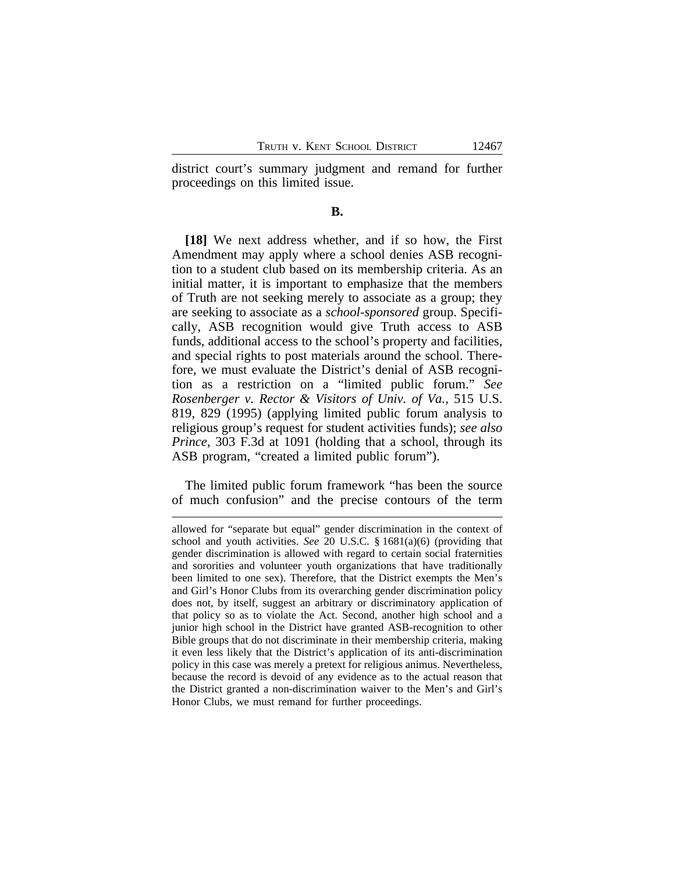district court's summary judgment and remand for further proceedings on this limited issue.

#### **B.**

**[18]** We next address whether, and if so how, the First Amendment may apply where a school denies ASB recognition to a student club based on its membership criteria. As an initial matter, it is important to emphasize that the members of Truth are not seeking merely to associate as a group; they are seeking to associate as a *school-sponsored* group. Specifically, ASB recognition would give Truth access to ASB funds, additional access to the school's property and facilities, and special rights to post materials around the school. Therefore, we must evaluate the District's denial of ASB recognition as a restriction on a "limited public forum." *See Rosenberger v. Rector & Visitors of Univ. of Va.*, 515 U.S. 819, 829 (1995) (applying limited public forum analysis to religious group's request for student activities funds); *see also Prince*, 303 F.3d at 1091 (holding that a school, through its ASB program, "created a limited public forum").

The limited public forum framework "has been the source of much confusion" and the precise contours of the term

allowed for "separate but equal" gender discrimination in the context of school and youth activities. *See* 20 U.S.C. § 1681(a)(6) (providing that gender discrimination is allowed with regard to certain social fraternities and sororities and volunteer youth organizations that have traditionally been limited to one sex). Therefore, that the District exempts the Men's and Girl's Honor Clubs from its overarching gender discrimination policy does not, by itself, suggest an arbitrary or discriminatory application of that policy so as to violate the Act. Second, another high school and a junior high school in the District have granted ASB-recognition to other Bible groups that do not discriminate in their membership criteria, making it even less likely that the District's application of its anti-discrimination policy in this case was merely a pretext for religious animus. Nevertheless, because the record is devoid of any evidence as to the actual reason that the District granted a non-discrimination waiver to the Men's and Girl's Honor Clubs, we must remand for further proceedings.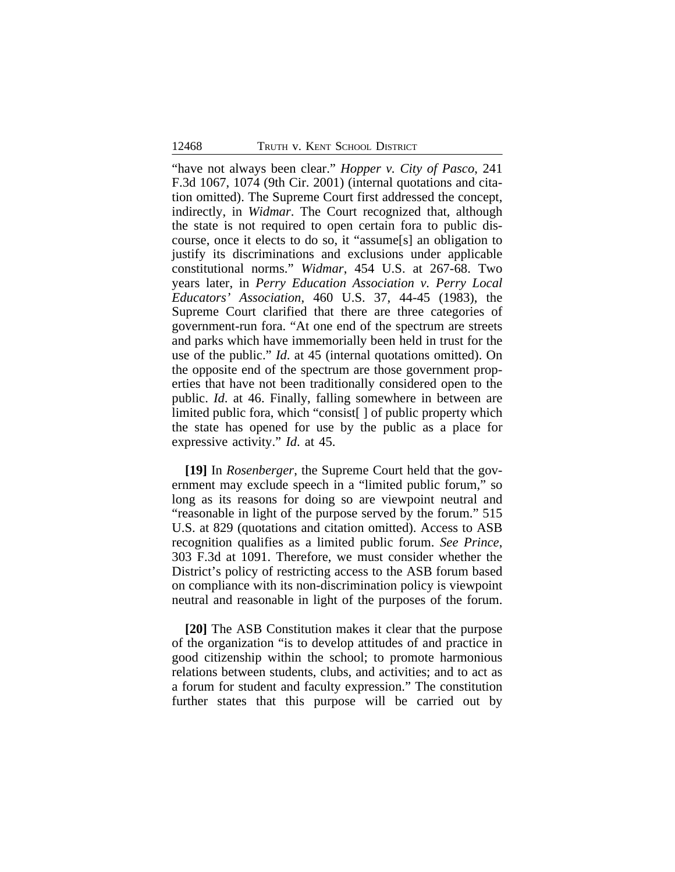"have not always been clear." *Hopper v. City of Pasco*, 241 F.3d 1067, 1074 (9th Cir. 2001) (internal quotations and citation omitted). The Supreme Court first addressed the concept, indirectly, in *Widmar*. The Court recognized that, although the state is not required to open certain fora to public discourse, once it elects to do so, it "assume[s] an obligation to justify its discriminations and exclusions under applicable constitutional norms." *Widmar*, 454 U.S. at 267-68. Two years later, in *Perry Education Association v. Perry Local Educators' Association*, 460 U.S. 37, 44-45 (1983), the Supreme Court clarified that there are three categories of government-run fora. "At one end of the spectrum are streets and parks which have immemorially been held in trust for the use of the public." *Id*. at 45 (internal quotations omitted). On the opposite end of the spectrum are those government properties that have not been traditionally considered open to the public. *Id*. at 46. Finally, falling somewhere in between are limited public fora, which "consist[ ] of public property which the state has opened for use by the public as a place for expressive activity." *Id*. at 45.

**[19]** In *Rosenberger*, the Supreme Court held that the government may exclude speech in a "limited public forum," so long as its reasons for doing so are viewpoint neutral and "reasonable in light of the purpose served by the forum." 515 U.S. at 829 (quotations and citation omitted). Access to ASB recognition qualifies as a limited public forum. *See Prince*, 303 F.3d at 1091. Therefore, we must consider whether the District's policy of restricting access to the ASB forum based on compliance with its non-discrimination policy is viewpoint neutral and reasonable in light of the purposes of the forum.

**[20]** The ASB Constitution makes it clear that the purpose of the organization "is to develop attitudes of and practice in good citizenship within the school; to promote harmonious relations between students, clubs, and activities; and to act as a forum for student and faculty expression." The constitution further states that this purpose will be carried out by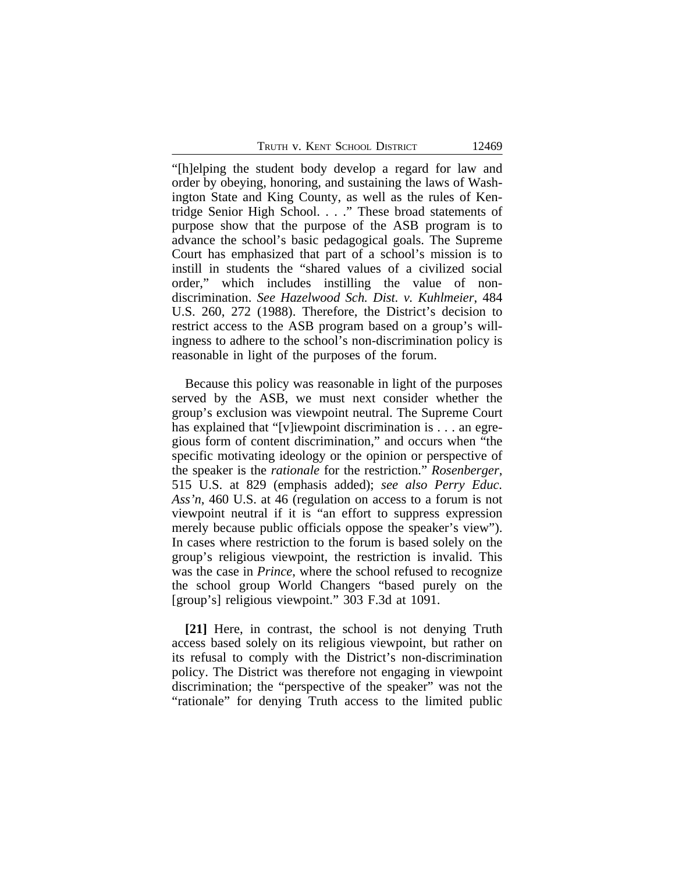TRUTH V. KENT SCHOOL DISTRICT 12469

"[h]elping the student body develop a regard for law and order by obeying, honoring, and sustaining the laws of Washington State and King County, as well as the rules of Kentridge Senior High School. . . ." These broad statements of purpose show that the purpose of the ASB program is to advance the school's basic pedagogical goals. The Supreme Court has emphasized that part of a school's mission is to instill in students the "shared values of a civilized social order," which includes instilling the value of nondiscrimination. *See Hazelwood Sch. Dist. v. Kuhlmeier*, 484 U.S. 260, 272 (1988). Therefore, the District's decision to restrict access to the ASB program based on a group's willingness to adhere to the school's non-discrimination policy is reasonable in light of the purposes of the forum.

Because this policy was reasonable in light of the purposes served by the ASB, we must next consider whether the group's exclusion was viewpoint neutral. The Supreme Court has explained that "[v]iewpoint discrimination is . . . an egregious form of content discrimination," and occurs when "the specific motivating ideology or the opinion or perspective of the speaker is the *rationale* for the restriction." *Rosenberger*, 515 U.S. at 829 (emphasis added); *see also Perry Educ. Ass'n*, 460 U.S. at 46 (regulation on access to a forum is not viewpoint neutral if it is "an effort to suppress expression merely because public officials oppose the speaker's view"). In cases where restriction to the forum is based solely on the group's religious viewpoint, the restriction is invalid. This was the case in *Prince*, where the school refused to recognize the school group World Changers "based purely on the [group's] religious viewpoint." 303 F.3d at 1091.

**[21]** Here, in contrast, the school is not denying Truth access based solely on its religious viewpoint, but rather on its refusal to comply with the District's non-discrimination policy. The District was therefore not engaging in viewpoint discrimination; the "perspective of the speaker" was not the "rationale" for denying Truth access to the limited public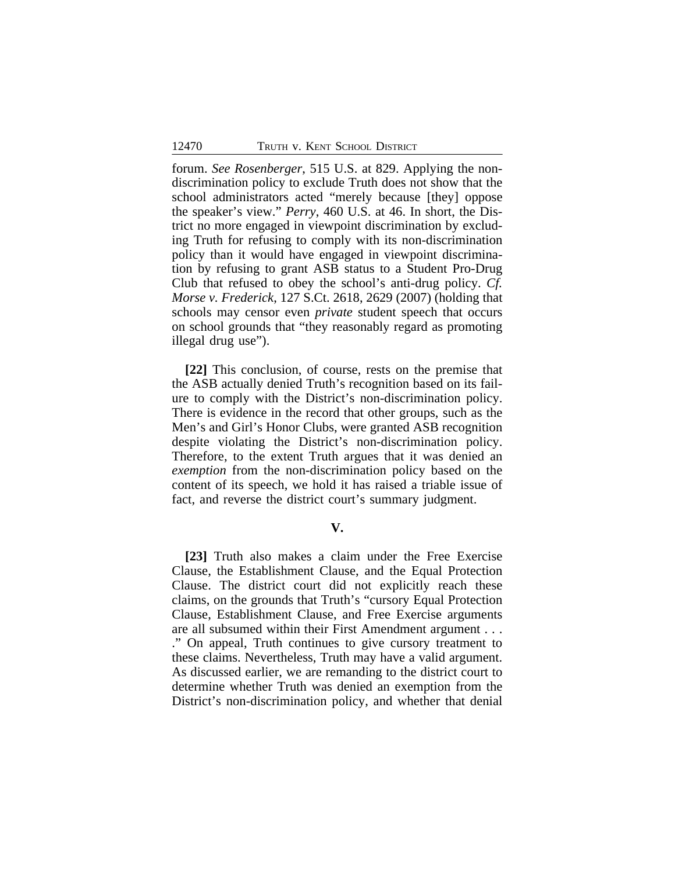forum. *See Rosenberger*, 515 U.S. at 829. Applying the nondiscrimination policy to exclude Truth does not show that the school administrators acted "merely because [they] oppose the speaker's view." *Perry*, 460 U.S. at 46. In short, the District no more engaged in viewpoint discrimination by excluding Truth for refusing to comply with its non-discrimination policy than it would have engaged in viewpoint discrimination by refusing to grant ASB status to a Student Pro-Drug Club that refused to obey the school's anti-drug policy. *Cf. Morse v. Frederick*, 127 S.Ct. 2618, 2629 (2007) (holding that schools may censor even *private* student speech that occurs on school grounds that "they reasonably regard as promoting illegal drug use").

**[22]** This conclusion, of course, rests on the premise that the ASB actually denied Truth's recognition based on its failure to comply with the District's non-discrimination policy. There is evidence in the record that other groups, such as the Men's and Girl's Honor Clubs, were granted ASB recognition despite violating the District's non-discrimination policy. Therefore, to the extent Truth argues that it was denied an *exemption* from the non-discrimination policy based on the content of its speech, we hold it has raised a triable issue of fact, and reverse the district court's summary judgment.

#### **V.**

**[23]** Truth also makes a claim under the Free Exercise Clause, the Establishment Clause, and the Equal Protection Clause. The district court did not explicitly reach these claims, on the grounds that Truth's "cursory Equal Protection Clause, Establishment Clause, and Free Exercise arguments are all subsumed within their First Amendment argument . . . ." On appeal, Truth continues to give cursory treatment to these claims. Nevertheless, Truth may have a valid argument. As discussed earlier, we are remanding to the district court to determine whether Truth was denied an exemption from the District's non-discrimination policy, and whether that denial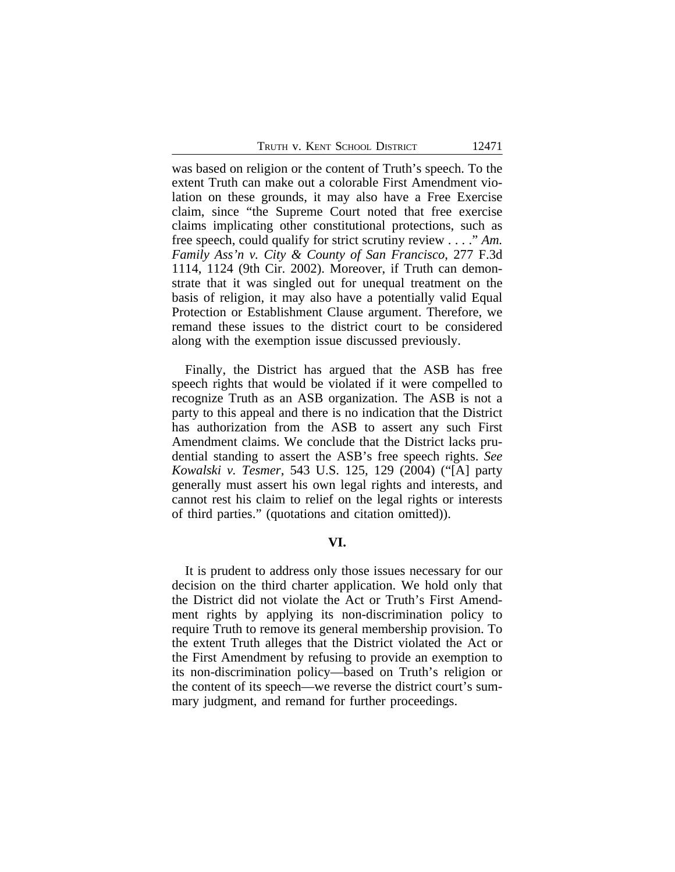was based on religion or the content of Truth's speech. To the extent Truth can make out a colorable First Amendment violation on these grounds, it may also have a Free Exercise claim, since "the Supreme Court noted that free exercise claims implicating other constitutional protections, such as free speech, could qualify for strict scrutiny review . . . ." *Am. Family Ass'n v. City & County of San Francisco*, 277 F.3d 1114, 1124 (9th Cir. 2002). Moreover, if Truth can demonstrate that it was singled out for unequal treatment on the basis of religion, it may also have a potentially valid Equal Protection or Establishment Clause argument. Therefore, we remand these issues to the district court to be considered along with the exemption issue discussed previously.

Finally, the District has argued that the ASB has free speech rights that would be violated if it were compelled to recognize Truth as an ASB organization. The ASB is not a party to this appeal and there is no indication that the District has authorization from the ASB to assert any such First Amendment claims. We conclude that the District lacks prudential standing to assert the ASB's free speech rights. *See Kowalski v. Tesmer*, 543 U.S. 125, 129 (2004) ("[A] party generally must assert his own legal rights and interests, and cannot rest his claim to relief on the legal rights or interests of third parties." (quotations and citation omitted)).

#### **VI.**

It is prudent to address only those issues necessary for our decision on the third charter application. We hold only that the District did not violate the Act or Truth's First Amendment rights by applying its non-discrimination policy to require Truth to remove its general membership provision. To the extent Truth alleges that the District violated the Act or the First Amendment by refusing to provide an exemption to its non-discrimination policy—based on Truth's religion or the content of its speech—we reverse the district court's summary judgment, and remand for further proceedings.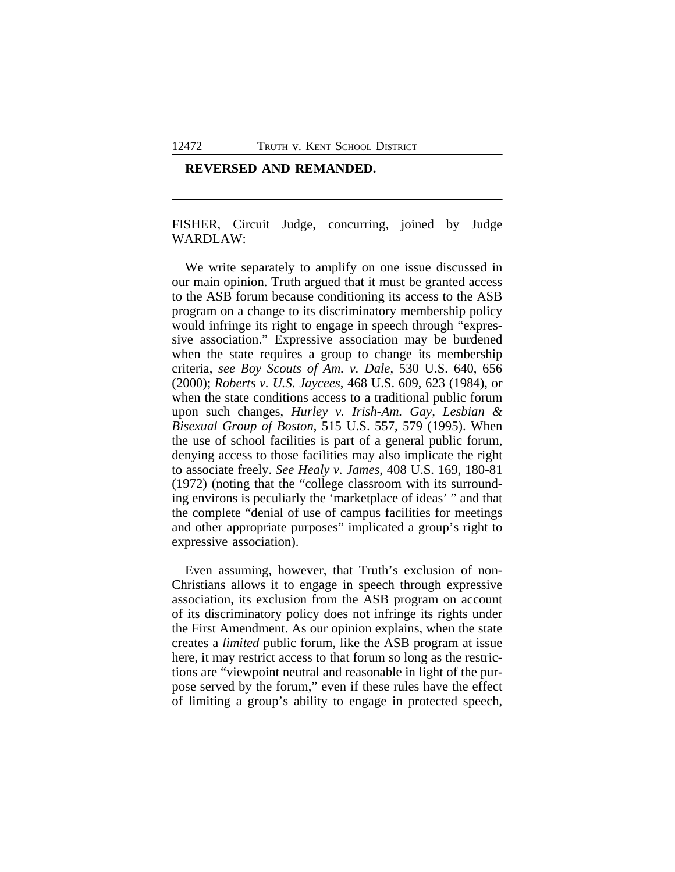#### **REVERSED AND REMANDED.**

FISHER, Circuit Judge, concurring, joined by Judge WARDLAW:

We write separately to amplify on one issue discussed in our main opinion. Truth argued that it must be granted access to the ASB forum because conditioning its access to the ASB program on a change to its discriminatory membership policy would infringe its right to engage in speech through "expressive association." Expressive association may be burdened when the state requires a group to change its membership criteria, *see Boy Scouts of Am. v. Dale*, 530 U.S. 640, 656 (2000); *Roberts v. U.S. Jaycees*, 468 U.S. 609, 623 (1984), or when the state conditions access to a traditional public forum upon such changes, *Hurley v. Irish-Am. Gay, Lesbian & Bisexual Group of Boston*, 515 U.S. 557, 579 (1995). When the use of school facilities is part of a general public forum, denying access to those facilities may also implicate the right to associate freely. *See Healy v. James*, 408 U.S. 169, 180-81 (1972) (noting that the "college classroom with its surrounding environs is peculiarly the 'marketplace of ideas' " and that the complete "denial of use of campus facilities for meetings and other appropriate purposes" implicated a group's right to expressive association).

Even assuming, however, that Truth's exclusion of non-Christians allows it to engage in speech through expressive association, its exclusion from the ASB program on account of its discriminatory policy does not infringe its rights under the First Amendment. As our opinion explains, when the state creates a *limited* public forum, like the ASB program at issue here, it may restrict access to that forum so long as the restrictions are "viewpoint neutral and reasonable in light of the purpose served by the forum," even if these rules have the effect of limiting a group's ability to engage in protected speech,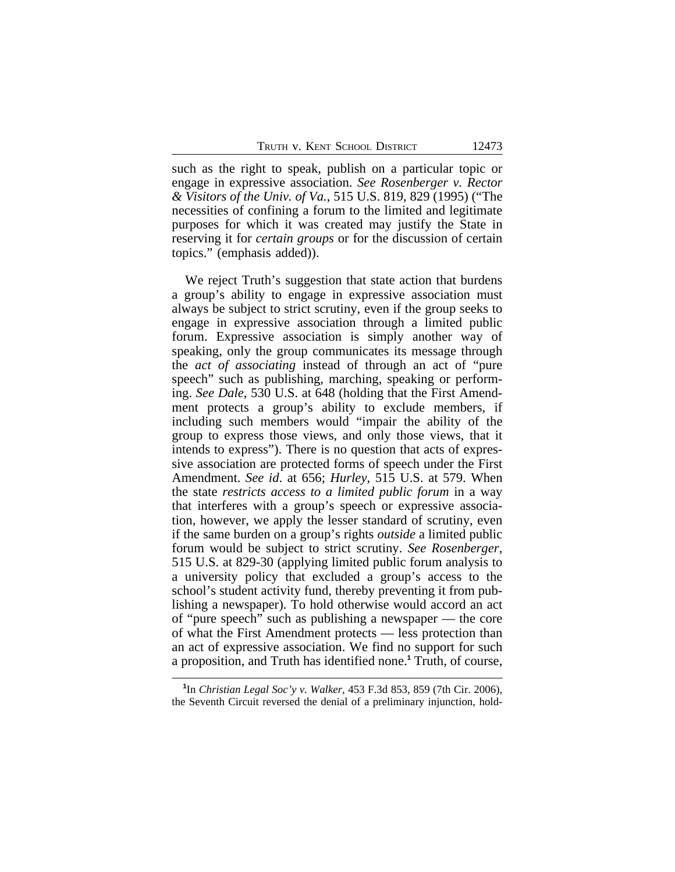such as the right to speak, publish on a particular topic or engage in expressive association. *See Rosenberger v. Rector & Visitors of the Univ. of Va.*, 515 U.S. 819, 829 (1995) ("The necessities of confining a forum to the limited and legitimate purposes for which it was created may justify the State in reserving it for *certain groups* or for the discussion of certain topics." (emphasis added)).

We reject Truth's suggestion that state action that burdens a group's ability to engage in expressive association must always be subject to strict scrutiny, even if the group seeks to engage in expressive association through a limited public forum. Expressive association is simply another way of speaking, only the group communicates its message through the *act of associating* instead of through an act of "pure speech" such as publishing, marching, speaking or performing. *See Dale*, 530 U.S. at 648 (holding that the First Amendment protects a group's ability to exclude members, if including such members would "impair the ability of the group to express those views, and only those views, that it intends to express"). There is no question that acts of expressive association are protected forms of speech under the First Amendment. *See id*. at 656; *Hurley*, 515 U.S. at 579. When the state *restricts access to a limited public forum* in a way that interferes with a group's speech or expressive association, however, we apply the lesser standard of scrutiny, even if the same burden on a group's rights *outside* a limited public forum would be subject to strict scrutiny. *See Rosenberger*, 515 U.S. at 829-30 (applying limited public forum analysis to a university policy that excluded a group's access to the school's student activity fund, thereby preventing it from publishing a newspaper). To hold otherwise would accord an act of "pure speech" such as publishing a newspaper — the core of what the First Amendment protects — less protection than an act of expressive association. We find no support for such a proposition, and Truth has identified none.**<sup>1</sup>** Truth, of course,

**<sup>1</sup>** In *Christian Legal Soc'y v. Walker*, 453 F.3d 853, 859 (7th Cir. 2006), the Seventh Circuit reversed the denial of a preliminary injunction, hold-